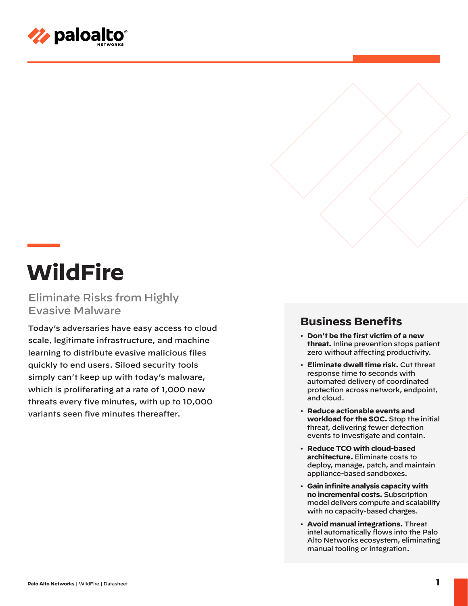

# **WildFire**

Eliminate Risks from Highly Evasive Malware

Today's adversaries have easy access to cloud scale, legitimate infrastructure, and machine learning to distribute evasive malicious files quickly to end users. Siloed security tools simply can't keep up with today's malware, which is proliferating at a rate of 1,000 new threats every five minutes, with up to 10,000 variants seen five minutes thereafter.

## **Business Benefits**

- **Don't be the first victim of a new threat.** Inline prevention stops patient zero without affecting productivity.
- **Eliminate dwell time risk.** Cut threat response time to seconds with automated delivery of coordinated protection across network, endpoint, and cloud.
- **Reduce actionable events and workload for the SOC.** Stop the initial threat, delivering fewer detection events to investigate and contain.
- **Reduce TCO with cloud-based architecture.** Eliminate costs to deploy, manage, patch, and maintain appliance-based sandboxes.
- **Gain infinite analysis capacity with no incremental costs.** Subscription model delivers compute and scalability with no capacity-based charges.
- **Avoid manual integrations.** Threat intel automatically flows into the Palo Alto Networks ecosystem, eliminating manual tooling or integration.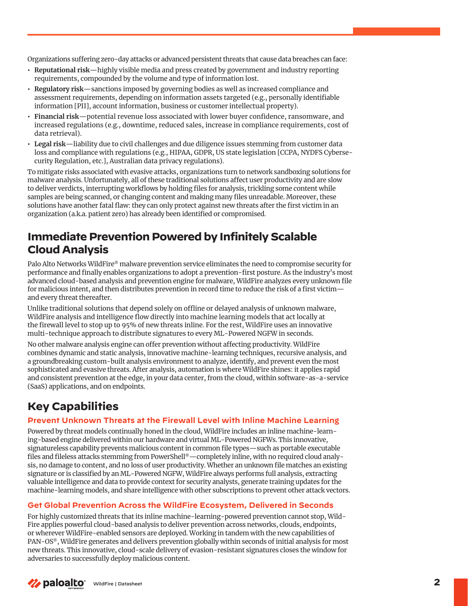Organizations suffering zero-day attacks or advanced persistent threats that cause data breaches can face:

- **• Reputational risk**—highly visible media and press created by government and industry reporting requirements, compounded by the volume and type of information lost.
- **• Regulatory risk**—sanctions imposed by governing bodies as well as increased compliance and assessment requirements, depending on information assets targeted (e.g., personally identifiable information [PII], account information, business or customer intellectual property).
- **• Financial risk**—potential revenue loss associated with lower buyer confidence, ransomware, and increased regulations (e.g., downtime, reduced sales, increase in compliance requirements, cost of data retrieval).
- **• Legal risk**—liability due to civil challenges and due diligence issues stemming from customer data loss and compliance with regulations (e.g., HIPAA, GDPR, US state legislation [CCPA, NYDFS Cybersecurity Regulation, etc.], Australian data privacy regulations).

To mitigate risks associated with evasive attacks, organizations turn to network sandboxing solutions for malware analysis. Unfortunately, all of these traditional solutions affect user productivity and are slow to deliver verdicts, interrupting workflows by holding files for analysis, trickling some content while samples are being scanned, or changing content and making many files unreadable. Moreover, these solutions have another fatal flaw: they can only protect against new threats after the first victim in an organization (a.k.a. patient zero) has already been identified or compromised.

# **Immediate Prevention Powered by Infinitely Scalable Cloud Analysis**

Palo Alto Networks WildFire® malware prevention service eliminates the need to compromise security for performance and finally enables organizations to adopt a prevention-first posture. As the industry's most advanced cloud-based analysis and prevention engine for malware, WildFire analyzes every unknown file for malicious intent, and then distributes prevention in record time to reduce the risk of a first victim and every threat thereafter.

Unlike traditional solutions that depend solely on offline or delayed analysis of unknown malware, WildFire analysis and intelligence flow directly into machine learning models that act locally at the firewall level to stop up to 95% of new threats inline. For the rest, WildFire uses an innovative multi-technique approach to distribute signatures to every ML-Powered NGFW in seconds.

No other malware analysis engine can offer prevention without affecting productivity. WildFire combines dynamic and static analysis, innovative machine-learning techniques, recursive analysis, and a groundbreaking custom-built analysis environment to analyze, identify, and prevent even the most sophisticated and evasive threats. After analysis, automation is where WildFire shines: it applies rapid and consistent prevention at the edge, in your data center, from the cloud, within software-as-a-service (SaaS) applications, and on endpoints.

# **Key Capabilities**

## **Prevent Unknown Threats at the Firewall Level with Inline Machine Learning**

Powered by threat models continually honed in the cloud, WildFire includes an inline machine-learning-based engine delivered within our hardware and virtual ML-Powered NGFWs. This innovative, signatureless capability prevents malicious content in common file types—such as portable executable files and fileless attacks stemming from PowerShell®—completely inline, with no required cloud analysis, no damage to content, and no loss of user productivity. Whether an unknown file matches an existing signature or is classified by an ML-Powered NGFW, WildFire always performs full analysis, extracting valuable intelligence and data to provide context for security analysts, generate training updates for the machine-learning models, and share intelligence with other subscriptions to prevent other attack vectors.

## **Get Global Prevention Across the WildFire Ecosystem, Delivered in Seconds**

For highly customized threats that its inline machine-learning-powered prevention cannot stop, Wild-Fire applies powerful cloud-based analysis to deliver prevention across networks, clouds, endpoints, or wherever WildFire-enabled sensors are deployed. Working in tandem with the new capabilities of PAN-OS®, WildFire generates and delivers prevention globally within seconds of initial analysis for most new threats. This innovative, cloud-scale delivery of evasion-resistant signatures closes the window for adversaries to successfully deploy malicious content.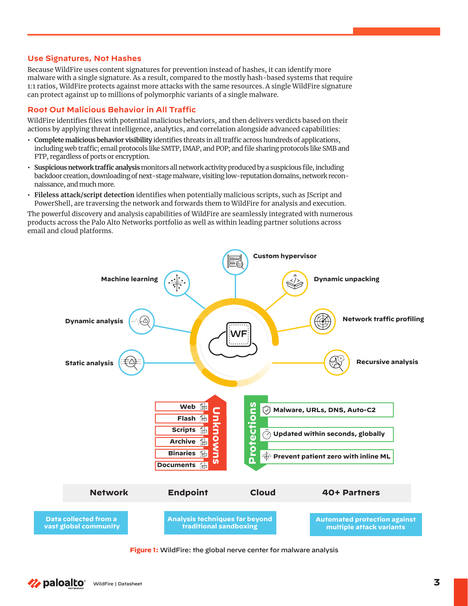#### **Use Signatures, Not Hashes**

Because WildFire uses content signatures for prevention instead of hashes, it can identify more malware with a single signature. As a result, compared to the mostly hash-based systems that require 1:1 ratios, WildFire protects against more attacks with the same resources. A single WildFire signature can protect against up to millions of polymorphic variants of a single malware.

#### **Root Out Malicious Behavior in All Traffic**

WildFire identifies files with potential malicious behaviors, and then delivers verdicts based on their actions by applying threat intelligence, analytics, and correlation alongside advanced capabilities:

- **• Complete malicious behavior visibility** identifies threats in all traffic across hundreds of applications, including web traffic; email protocols like SMTP, IMAP, and POP; and file sharing protocols like SMB and FTP, regardless of ports or encryption.
- **• Suspicious network traffic analysis** monitors all network activity produced by a suspicious file, including backdoor creation, downloading of next-stage malware, visiting low-reputation domains, network reconnaissance, and much more.
- **• Fileless attack/script detection** identifies when potentially malicious scripts, such as JScript and PowerShell, are traversing the network and forwards them to WildFire for analysis and execution.

The powerful discovery and analysis capabilities of WildFire are seamlessly integrated with numerous products across the Palo Alto Networks portfolio as well as within leading partner solutions across email and cloud platforms.



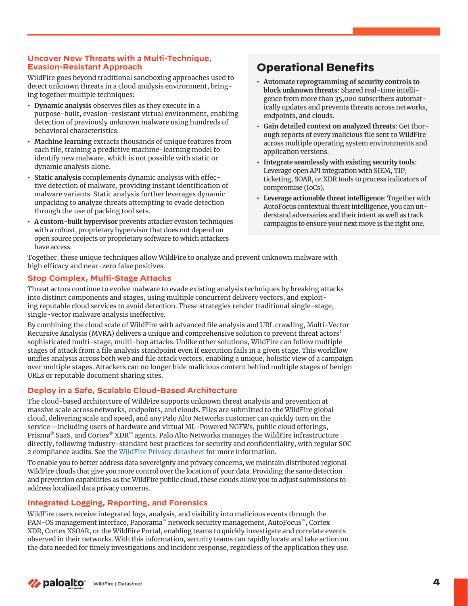#### **Uncover New Threats with a Multi-Technique, Evasion-Resistant Approach**

WildFire goes beyond traditional sandboxing approaches used to detect unknown threats in a cloud analysis environment, bringing together multiple techniques:

- **• Dynamic analysis** observes files as they execute in a purpose-built, evasion-resistant virtual environment, enabling detection of previously unknown malware using hundreds of behavioral characteristics.
- **• Machine learning** extracts thousands of unique features from each file, training a predictive machine-learning model to identify new malware, which is not possible with static or dynamic analysis alone.
- **• Static analysis** complements dynamic analysis with effective detection of malware, providing instant identification of malware variants. Static analysis further leverages dynamic unpacking to analyze threats attempting to evade detection through the use of packing tool sets.
- **• A custom-built hypervisor** prevents attacker evasion techniques with a robust, proprietary hypervisor that does not depend on open source projects or proprietary software to which attackers have access.

# **Operational Benefits**

- **• Automate reprogramming of security controls to block unknown threats**: Shared real-time intelligence from more than 35,000 subscribers automatically updates and prevents threats across networks, endpoints, and clouds.
- **• Gain detailed context on analyzed threats**: Get thorough reports of every malicious file sent to WildFire across multiple operating system environments and application versions.
- **• Integrate seamlessly with existing security tools**: Leverage open API integration with SIEM, TIP, ticketing, SOAR, or XDR tools to process indicators of compromise (IoCs).
- **• Leverage actionable threat intelligence**: Together with AutoFocus contextual threat intelligence, you can understand adversaries and their intent as well as track campaigns to ensure your next move is the right one.

Together, these unique techniques allow WildFire to analyze and prevent unknown malware with high efficacy and near-zero false positives.

## **Stop Complex, Multi-Stage Attacks**

Threat actors continue to evolve malware to evade existing analysis techniques by breaking attacks into distinct components and stages, using multiple concurrent delivery vectors, and exploiting reputable cloud services to avoid detection. These strategies render traditional single-stage, single-vector malware analysis ineffective.

By combining the cloud scale of WildFire with advanced file analysis and URL crawling, Multi-Vector Recursive Analysis (MVRA) delivers a unique and comprehensive solution to prevent threat actors' sophisticated multi-stage, multi-hop attacks. Unlike other solutions, WildFire can follow multiple stages of attack from a file analysis standpoint even if execution fails in a given stage. This workflow unifies analysis across both web and file attack vectors, enabling a unique, holistic view of a campaign over multiple stages. Attackers can no longer hide malicious content behind multiple stages of benign URLs or reputable document sharing sites.

## **Deploy in a Safe, Scalable Cloud-Based Architecture**

The cloud-based architecture of WildFire supports unknown threat analysis and prevention at massive scale across networks, endpoints, and clouds. Files are submitted to the WildFire global cloud, delivering scale and speed, and any Palo Alto Networks customer can quickly turn on the service—including users of hardware and virtual ML-Powered NGFWs, public cloud offerings, Prisma® SaaS, and Cortex® XDR™ agents. Palo Alto Networks manages the WildFire infrastructure directly, following industry-standard best practices for security and confidentiality, with regular SOC 2 compliance audits. See the [WildFire Privacy datasheet for](https://www.paloaltonetworks.com/resources/datasheets/wildfire-privacy-datasheet) more information.

To enable you to better address data sovereignty and privacy concerns, we maintain distributed regional WildFire clouds that give you more control over the location of your data. Providing the same detection and prevention capabilities as the WildFire public cloud, these clouds allow you to adjust submissions to address localized data privacy concerns.

## **Integrated Logging, Reporting, and Forensics**

WildFire users receive integrated logs, analysis, and visibility into malicious events through the PAN-OS management interface, Panorama™ network security management, AutoFocus™, Cortex XDR, Cortex XSOAR, or the WildFire Portal, enabling teams to quickly investigate and correlate events observed in their networks. With this information, security teams can rapidly locate and take action on the data needed for timely investigations and incident response, regardless of the application they use.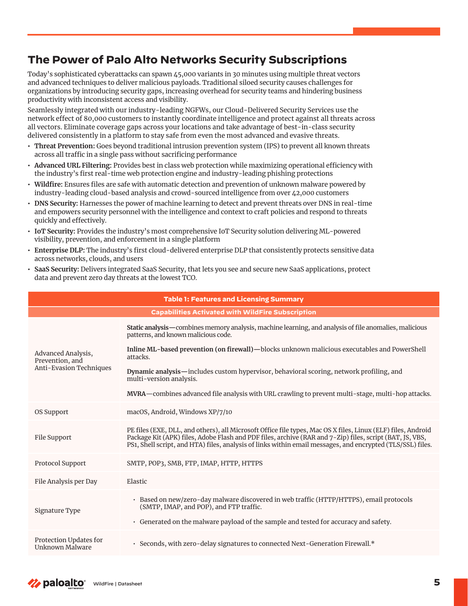# **The Power of Palo Alto Networks Security Subscriptions**

Today's sophisticated cyberattacks can spawn 45,000 variants in 30 minutes using multiple threat vectors and advanced techniques to deliver malicious payloads. Traditional siloed security causes challenges for organizations by introducing security gaps, increasing overhead for security teams and hindering business productivity with inconsistent access and visibility.

Seamlessly integrated with our industry-leading NGFWs, our Cloud-Delivered Security Services use the network effect of 80,000 customers to instantly coordinate intelligence and protect against all threats across all vectors. Eliminate coverage gaps across your locations and take advantage of best-in-class security delivered consistently in a platform to stay safe from even the most advanced and evasive threats.

- **• Threat Prevention:** Goes beyond traditional intrusion prevention system (IPS) to prevent all known threats across all traffic in a single pass without sacrificing performance
- **• Advanced URL Filtering:** Provides best in class web protection while maximizing operational efficiency with the industry's first real-time web protection engine and industry-leading phishing protections
- **• Wildfire:** Ensures files are safe with automatic detection and prevention of unknown malware powered by industry-leading cloud-based analysis and crowd-sourced intelligence from over 42,000 customers
- **• DNS Security:** Harnesses the power of machine learning to detect and prevent threats over DNS in real-time and empowers security personnel with the intelligence and context to craft policies and respond to threats quickly and effectively.
- **• IoT Security:** Provides the industry's most comprehensive IoT Security solution delivering ML-powered visibility, prevention, and enforcement in a single platform
- **• Enterprise DLP:** The industry's first cloud-delivered enterprise DLP that consistently protects sensitive data across networks, clouds, and users
- **• SaaS Security:** Delivers integrated SaaS Security, that lets you see and secure new SaaS applications, protect data and prevent zero day threats at the lowest TCO.

| <b>Table 1: Features and Licensing Summary</b>                   |                                                                                                                                                                                                                                                                                                                                        |  |
|------------------------------------------------------------------|----------------------------------------------------------------------------------------------------------------------------------------------------------------------------------------------------------------------------------------------------------------------------------------------------------------------------------------|--|
| <b>Capabilities Activated with WildFire Subscription</b>         |                                                                                                                                                                                                                                                                                                                                        |  |
| Advanced Analysis,<br>Prevention, and<br>Anti-Evasion Techniques | Static analysis—combines memory analysis, machine learning, and analysis of file anomalies, malicious<br>patterns, and known malicious code.                                                                                                                                                                                           |  |
|                                                                  | Inline ML-based prevention (on firewall)—blocks unknown malicious executables and PowerShell<br>attacks.                                                                                                                                                                                                                               |  |
|                                                                  | Dynamic analysis—includes custom hypervisor, behavioral scoring, network profiling, and<br>multi-version analysis.                                                                                                                                                                                                                     |  |
|                                                                  | MVRA—combines advanced file analysis with URL crawling to prevent multi-stage, multi-hop attacks.                                                                                                                                                                                                                                      |  |
| OS Support                                                       | macOS, Android, Windows XP/7/10                                                                                                                                                                                                                                                                                                        |  |
| File Support                                                     | PE files (EXE, DLL, and others), all Microsoft Office file types, Mac OS X files, Linux (ELF) files, Android<br>Package Kit (APK) files, Adobe Flash and PDF files, archive (RAR and 7-Zip) files, script (BAT, JS, VBS,<br>PS1, Shell script, and HTA) files, analysis of links within email messages, and encrypted (TLS/SSL) files. |  |
| Protocol Support                                                 | SMTP, POP3, SMB, FTP, IMAP, HTTP, HTTPS                                                                                                                                                                                                                                                                                                |  |
| File Analysis per Day                                            | Elastic                                                                                                                                                                                                                                                                                                                                |  |
| Signature Type                                                   | · Based on new/zero-day malware discovered in web traffic (HTTP/HTTPS), email protocols<br>(SMTP, IMAP, and POP), and FTP traffic.<br>• Generated on the malware payload of the sample and tested for accuracy and safety.                                                                                                             |  |
| Protection Updates for<br>Unknown Malware                        | · Seconds, with zero-delay signatures to connected Next-Generation Firewall.*                                                                                                                                                                                                                                                          |  |